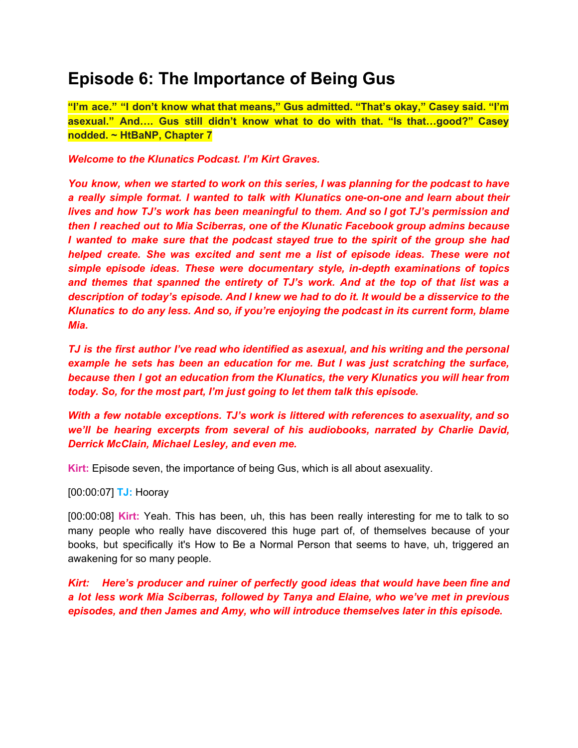# **Episode 6: The Importance of Being Gus**

**"I'm ace." "I don't know what that means," Gus admitted. "That's okay," Casey said. "I'm asexual." And…. Gus still didn't know what to do with that. "Is that…good?" Casey nodded. ~ HtBaNP, Chapter 7**

*Welcome to the Klunatics Podcast. I'm Kirt Graves.*

*You know, when we started to work on this series, I was planning for the podcast to have a really simple format. I wanted to talk with Klunatics one-on-one and learn about their lives and how TJ's work has been meaningful to them. And so I got TJ's permission and then I reached out to Mia Sciberras, one of the Klunatic Facebook group admins because I wanted to make sure that the podcast stayed true to the spirit of the group she had helped create. She was excited and sent me a list of episode ideas. These were not simple episode ideas. These were documentary style, in-depth examinations of topics and themes that spanned the entirety of TJ's work. And at the top of that list was a description of today's episode. And I knew we had to do it. It would be a disservice to the Klunatics to do any less. And so, if you're enjoying the podcast in its current form, blame Mia.*

*TJ is the first author I've read who identified as asexual, and his writing and the personal example he sets has been an education for me. But I was just scratching the surface, because then I got an education from the Klunatics, the very Klunatics you will hear from today. So, for the most part, I'm just going to let them talk this episode.*

*With a few notable exceptions. TJ's work is littered with references to asexuality, and so we'll be hearing excerpts from several of his audiobooks, narrated by Charlie David, Derrick McClain, Michael Lesley, and even me.*

**Kirt:** Episode seven, the importance of being Gus, which is all about asexuality.

[00:00:07] **TJ:** Hooray

[00:00:08] **Kirt:** Yeah. This has been, uh, this has been really interesting for me to talk to so many people who really have discovered this huge part of, of themselves because of your books, but specifically it's How to Be a Normal Person that seems to have, uh, triggered an awakening for so many people.

*Kirt: Here's producer and ruiner of perfectly good ideas that would have been fine and a lot less work Mia Sciberras, followed by Tanya and Elaine, who we've met in previous episodes, and then James and Amy, who will introduce themselves later in this episode.*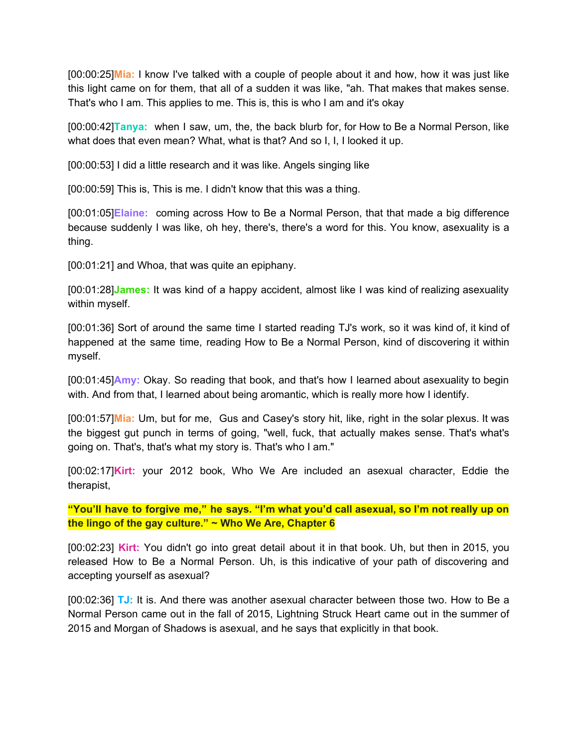[00:00:25]**Mia:** I know I've talked with a couple of people about it and how, how it was just like this light came on for them, that all of a sudden it was like, "ah. That makes that makes sense. That's who I am. This applies to me. This is, this is who I am and it's okay

[00:00:42]**Tanya:** when I saw, um, the, the back blurb for, for How to Be a Normal Person, like what does that even mean? What, what is that? And so I, I, I looked it up.

[00:00:53] I did a little research and it was like. Angels singing like

[00:00:59] This is, This is me. I didn't know that this was a thing.

[00:01:05]**Elaine:** coming across How to Be a Normal Person, that that made a big difference because suddenly I was like, oh hey, there's, there's a word for this. You know, asexuality is a thing.

[00:01:21] and Whoa, that was quite an epiphany.

[00:01:28]**James:** It was kind of a happy accident, almost like I was kind of realizing asexuality within myself.

[00:01:36] Sort of around the same time I started reading TJ's work, so it was kind of, it kind of happened at the same time, reading How to Be a Normal Person, kind of discovering it within myself.

[00:01:45]**Amy:** Okay. So reading that book, and that's how I learned about asexuality to begin with. And from that, I learned about being aromantic, which is really more how I identify.

[00:01:57]**Mia:** Um, but for me, Gus and Casey's story hit, like, right in the solar plexus. It was the biggest gut punch in terms of going, "well, fuck, that actually makes sense. That's what's going on. That's, that's what my story is. That's who I am."

[00:02:17]**Kirt:** your 2012 book, Who We Are included an asexual character, Eddie the therapist,

**"You'll have to forgive me," he says. "I'm what you'd call asexual, so I'm not really up on the lingo of the gay culture." ~ Who We Are, Chapter 6**

[00:02:23] **Kirt:** You didn't go into great detail about it in that book. Uh, but then in 2015, you released How to Be a Normal Person. Uh, is this indicative of your path of discovering and accepting yourself as asexual?

[00:02:36] **TJ:** It is. And there was another asexual character between those two. How to Be a Normal Person came out in the fall of 2015, Lightning Struck Heart came out in the summer of 2015 and Morgan of Shadows is asexual, and he says that explicitly in that book.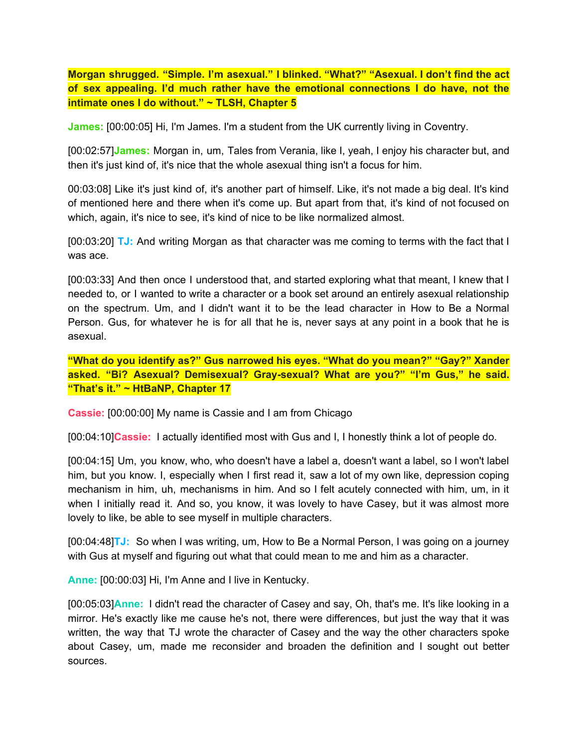**Morgan shrugged. "Simple. I'm asexual." I blinked. "What?" "Asexual. I don't find the act of sex appealing. I'd much rather have the emotional connections I do have, not the intimate ones I do without." ~ TLSH, Chapter 5**

**James:** [00:00:05] Hi, I'm James. I'm a student from the UK currently living in Coventry.

[00:02:57]**James:** Morgan in, um, Tales from Verania, like I, yeah, I enjoy his character but, and then it's just kind of, it's nice that the whole asexual thing isn't a focus for him.

00:03:08] Like it's just kind of, it's another part of himself. Like, it's not made a big deal. It's kind of mentioned here and there when it's come up. But apart from that, it's kind of not focused on which, again, it's nice to see, it's kind of nice to be like normalized almost.

[00:03:20] **TJ:** And writing Morgan as that character was me coming to terms with the fact that I was ace.

[00:03:33] And then once I understood that, and started exploring what that meant, I knew that I needed to, or I wanted to write a character or a book set around an entirely asexual relationship on the spectrum. Um, and I didn't want it to be the lead character in How to Be a Normal Person. Gus, for whatever he is for all that he is, never says at any point in a book that he is asexual.

**"What do you identify as?" Gus narrowed his eyes. "What do you mean?" "Gay?" Xander asked. "Bi? Asexual? Demisexual? Gray-sexual? What are you?" "I'm Gus," he said. "That's it." ~ HtBaNP, Chapter 17**

**Cassie:** [00:00:00] My name is Cassie and I am from Chicago

[00:04:10]**Cassie:** I actually identified most with Gus and I, I honestly think a lot of people do.

[00:04:15] Um, you know, who, who doesn't have a label a, doesn't want a label, so I won't label him, but you know. I, especially when I first read it, saw a lot of my own like, depression coping mechanism in him, uh, mechanisms in him. And so I felt acutely connected with him, um, in it when I initially read it. And so, you know, it was lovely to have Casey, but it was almost more lovely to like, be able to see myself in multiple characters.

[00:04:48]**TJ:** So when I was writing, um, How to Be a Normal Person, I was going on a journey with Gus at myself and figuring out what that could mean to me and him as a character.

**Anne:** [00:00:03] Hi, I'm Anne and I live in Kentucky.

[00:05:03]**Anne:** I didn't read the character of Casey and say, Oh, that's me. It's like looking in a mirror. He's exactly like me cause he's not, there were differences, but just the way that it was written, the way that TJ wrote the character of Casey and the way the other characters spoke about Casey, um, made me reconsider and broaden the definition and I sought out better sources.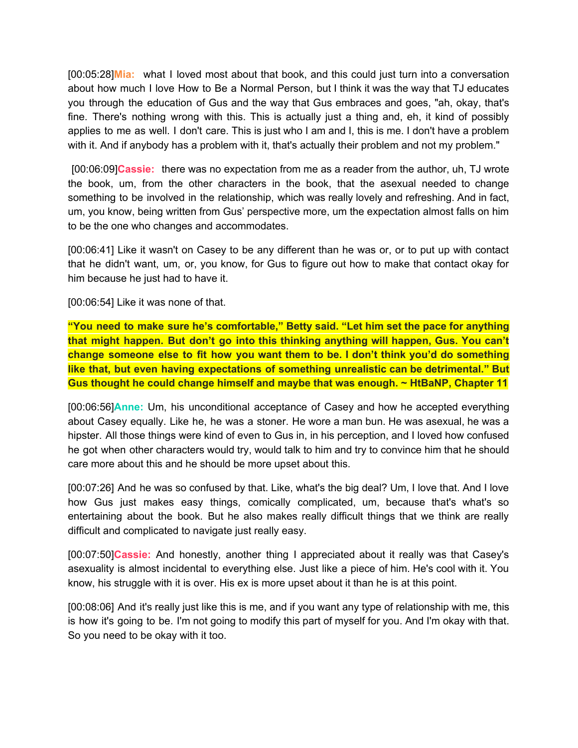[00:05:28]**Mia:** what I loved most about that book, and this could just turn into a conversation about how much I love How to Be a Normal Person, but I think it was the way that TJ educates you through the education of Gus and the way that Gus embraces and goes, "ah, okay, that's fine. There's nothing wrong with this. This is actually just a thing and, eh, it kind of possibly applies to me as well. I don't care. This is just who I am and I, this is me. I don't have a problem with it. And if anybody has a problem with it, that's actually their problem and not my problem."

[00:06:09]**Cassie:** there was no expectation from me as a reader from the author, uh, TJ wrote the book, um, from the other characters in the book, that the asexual needed to change something to be involved in the relationship, which was really lovely and refreshing. And in fact, um, you know, being written from Gus' perspective more, um the expectation almost falls on him to be the one who changes and accommodates.

[00:06:41] Like it wasn't on Casey to be any different than he was or, or to put up with contact that he didn't want, um, or, you know, for Gus to figure out how to make that contact okay for him because he just had to have it.

[00:06:54] Like it was none of that.

**"You need to make sure he's comfortable," Betty said. "Let him set the pace for anything that might happen. But don't go into this thinking anything will happen, Gus. You can't change someone else to fit how you want them to be. I don't think you'd do something like that, but even having expectations of something unrealistic can be detrimental." But Gus thought he could change himself and maybe that was enough. ~ HtBaNP, Chapter 11**

[00:06:56]**Anne:** Um, his unconditional acceptance of Casey and how he accepted everything about Casey equally. Like he, he was a stoner. He wore a man bun. He was asexual, he was a hipster. All those things were kind of even to Gus in, in his perception, and I loved how confused he got when other characters would try, would talk to him and try to convince him that he should care more about this and he should be more upset about this.

[00:07:26] And he was so confused by that. Like, what's the big deal? Um, I love that. And I love how Gus just makes easy things, comically complicated, um, because that's what's so entertaining about the book. But he also makes really difficult things that we think are really difficult and complicated to navigate just really easy.

[00:07:50]**Cassie:** And honestly, another thing I appreciated about it really was that Casey's asexuality is almost incidental to everything else. Just like a piece of him. He's cool with it. You know, his struggle with it is over. His ex is more upset about it than he is at this point.

[00:08:06] And it's really just like this is me, and if you want any type of relationship with me, this is how it's going to be. I'm not going to modify this part of myself for you. And I'm okay with that. So you need to be okay with it too.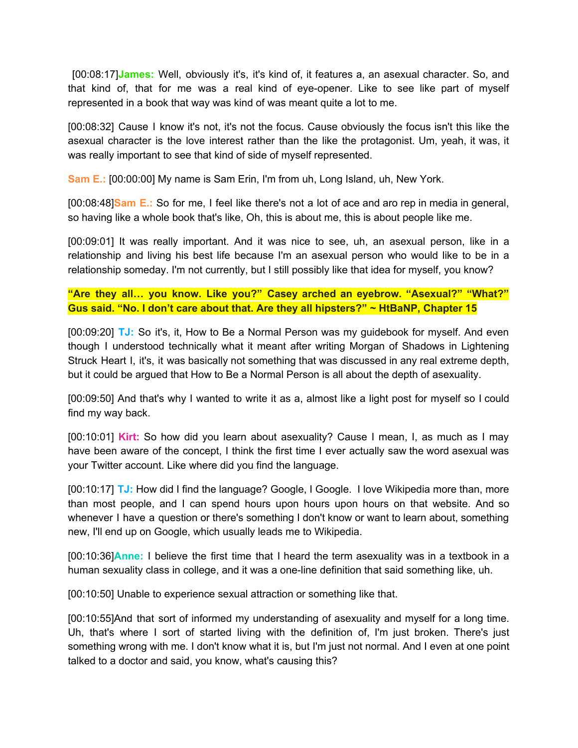[00:08:17]**James:** Well, obviously it's, it's kind of, it features a, an asexual character. So, and that kind of, that for me was a real kind of eye-opener. Like to see like part of myself represented in a book that way was kind of was meant quite a lot to me.

[00:08:32] Cause I know it's not, it's not the focus. Cause obviously the focus isn't this like the asexual character is the love interest rather than the like the protagonist. Um, yeah, it was, it was really important to see that kind of side of myself represented.

**Sam E.:** [00:00:00] My name is Sam Erin, I'm from uh, Long Island, uh, New York.

[00:08:48]**Sam E.:** So for me, I feel like there's not a lot of ace and aro rep in media in general, so having like a whole book that's like, Oh, this is about me, this is about people like me.

[00:09:01] It was really important. And it was nice to see, uh, an asexual person, like in a relationship and living his best life because I'm an asexual person who would like to be in a relationship someday. I'm not currently, but I still possibly like that idea for myself, you know?

**"Are they all… you know. Like you?" Casey arched an eyebrow. "Asexual?" "What?" Gus said. "No. I don't care about that. Are they all hipsters?" ~ HtBaNP, Chapter 15**

[00:09:20] **TJ:** So it's, it, How to Be a Normal Person was my guidebook for myself. And even though I understood technically what it meant after writing Morgan of Shadows in Lightening Struck Heart I, it's, it was basically not something that was discussed in any real extreme depth, but it could be argued that How to Be a Normal Person is all about the depth of asexuality.

[00:09:50] And that's why I wanted to write it as a, almost like a light post for myself so I could find my way back.

[00:10:01] **Kirt:** So how did you learn about asexuality? Cause I mean, I, as much as I may have been aware of the concept, I think the first time I ever actually saw the word asexual was your Twitter account. Like where did you find the language.

[00:10:17] **TJ:** How did I find the language? Google, I Google. I love Wikipedia more than, more than most people, and I can spend hours upon hours upon hours on that website. And so whenever I have a question or there's something I don't know or want to learn about, something new, I'll end up on Google, which usually leads me to Wikipedia.

[00:10:36]**Anne:** I believe the first time that I heard the term asexuality was in a textbook in a human sexuality class in college, and it was a one-line definition that said something like, uh.

[00:10:50] Unable to experience sexual attraction or something like that.

[00:10:55]And that sort of informed my understanding of asexuality and myself for a long time. Uh, that's where I sort of started living with the definition of, I'm just broken. There's just something wrong with me. I don't know what it is, but I'm just not normal. And I even at one point talked to a doctor and said, you know, what's causing this?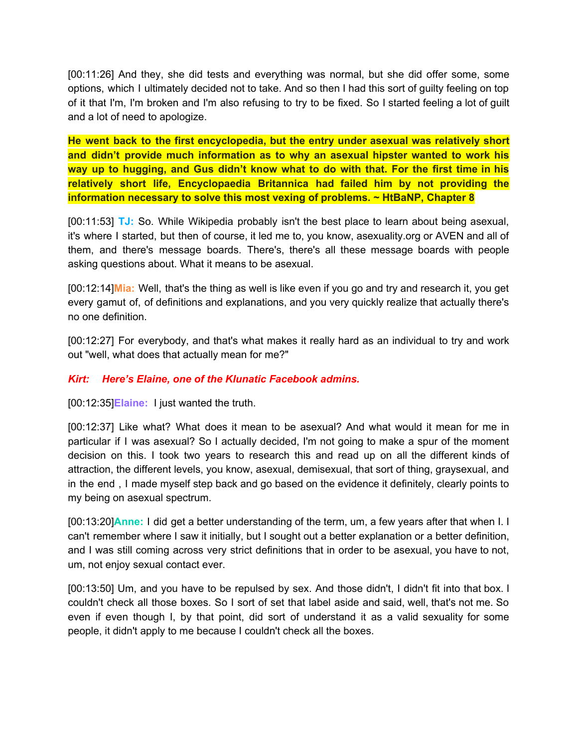[00:11:26] And they, she did tests and everything was normal, but she did offer some, some options, which I ultimately decided not to take. And so then I had this sort of guilty feeling on top of it that I'm, I'm broken and I'm also refusing to try to be fixed. So I started feeling a lot of guilt and a lot of need to apologize.

**He went back to the first encyclopedia, but the entry under asexual was relatively short and didn't provide much information as to why an asexual hipster wanted to work his way up to hugging, and Gus didn't know what to do with that. For the first time in his relatively short life, Encyclopaedia Britannica had failed him by not providing the information necessary to solve this most vexing of problems. ~ HtBaNP, Chapter 8**

[00:11:53] **TJ:** So. While Wikipedia probably isn't the best place to learn about being asexual, it's where I started, but then of course, it led me to, you know, asexuality.org or AVEN and all of them, and there's message boards. There's, there's all these message boards with people asking questions about. What it means to be asexual.

[00:12:14]**Mia:** Well, that's the thing as well is like even if you go and try and research it, you get every gamut of, of definitions and explanations, and you very quickly realize that actually there's no one definition.

[00:12:27] For everybody, and that's what makes it really hard as an individual to try and work out "well, what does that actually mean for me?"

#### *Kirt: Here's Elaine, one of the Klunatic Facebook admins.*

[00:12:35]**Elaine:** I just wanted the truth.

[00:12:37] Like what? What does it mean to be asexual? And what would it mean for me in particular if I was asexual? So I actually decided, I'm not going to make a spur of the moment decision on this. I took two years to research this and read up on all the different kinds of attraction, the different levels, you know, asexual, demisexual, that sort of thing, graysexual, and in the end , I made myself step back and go based on the evidence it definitely, clearly points to my being on asexual spectrum.

[00:13:20]**Anne:** I did get a better understanding of the term, um, a few years after that when I. I can't remember where I saw it initially, but I sought out a better explanation or a better definition, and I was still coming across very strict definitions that in order to be asexual, you have to not, um, not enjoy sexual contact ever.

[00:13:50] Um, and you have to be repulsed by sex. And those didn't, I didn't fit into that box. I couldn't check all those boxes. So I sort of set that label aside and said, well, that's not me. So even if even though I, by that point, did sort of understand it as a valid sexuality for some people, it didn't apply to me because I couldn't check all the boxes.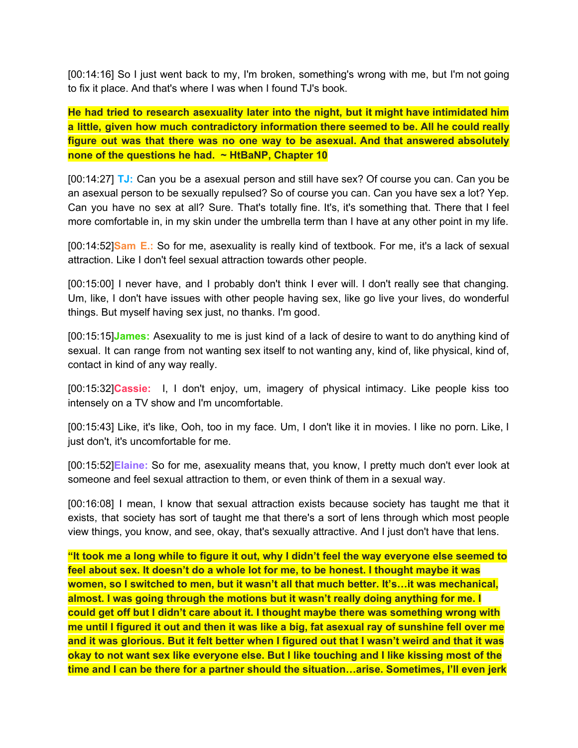[00:14:16] So I just went back to my, I'm broken, something's wrong with me, but I'm not going to fix it place. And that's where I was when I found TJ's book.

**He had tried to research asexuality later into the night, but it might have intimidated him a little, given how much contradictory information there seemed to be. All he could really figure out was that there was no one way to be asexual. And that answered absolutely none of the questions he had. ~ HtBaNP, Chapter 10**

[00:14:27] **TJ:** Can you be a asexual person and still have sex? Of course you can. Can you be an asexual person to be sexually repulsed? So of course you can. Can you have sex a lot? Yep. Can you have no sex at all? Sure. That's totally fine. It's, it's something that. There that I feel more comfortable in, in my skin under the umbrella term than I have at any other point in my life.

[00:14:52]**Sam E.:** So for me, asexuality is really kind of textbook. For me, it's a lack of sexual attraction. Like I don't feel sexual attraction towards other people.

[00:15:00] I never have, and I probably don't think I ever will. I don't really see that changing. Um, like, I don't have issues with other people having sex, like go live your lives, do wonderful things. But myself having sex just, no thanks. I'm good.

[00:15:15]**James:** Asexuality to me is just kind of a lack of desire to want to do anything kind of sexual. It can range from not wanting sex itself to not wanting any, kind of, like physical, kind of, contact in kind of any way really.

[00:15:32]**Cassie:** I, I don't enjoy, um, imagery of physical intimacy. Like people kiss too intensely on a TV show and I'm uncomfortable.

[00:15:43] Like, it's like, Ooh, too in my face. Um, I don't like it in movies. I like no porn. Like, I just don't, it's uncomfortable for me.

[00:15:52]**Elaine:** So for me, asexuality means that, you know, I pretty much don't ever look at someone and feel sexual attraction to them, or even think of them in a sexual way.

[00:16:08] I mean, I know that sexual attraction exists because society has taught me that it exists, that society has sort of taught me that there's a sort of lens through which most people view things, you know, and see, okay, that's sexually attractive. And I just don't have that lens.

"It took me a long while to figure it out, why I didn't feel the way everyone else seemed to **feel about sex. It doesn't do a whole lot for me, to be honest. I thought maybe it was women, so I switched to men, but it wasn't all that much better. It's…it was mechanical, almost. I was going through the motions but it wasn't really doing anything for me. I could get off but I didn't care about it. I thought maybe there was something wrong with** me until I figured it out and then it was like a big, fat asexual ray of sunshine fell over me and it was glorious. But it felt better when I figured out that I wasn't weird and that it was **okay to not want sex like everyone else. But I like touching and I like kissing most of the time and I can be there for a partner should the situation…arise. Sometimes, I'll even jerk**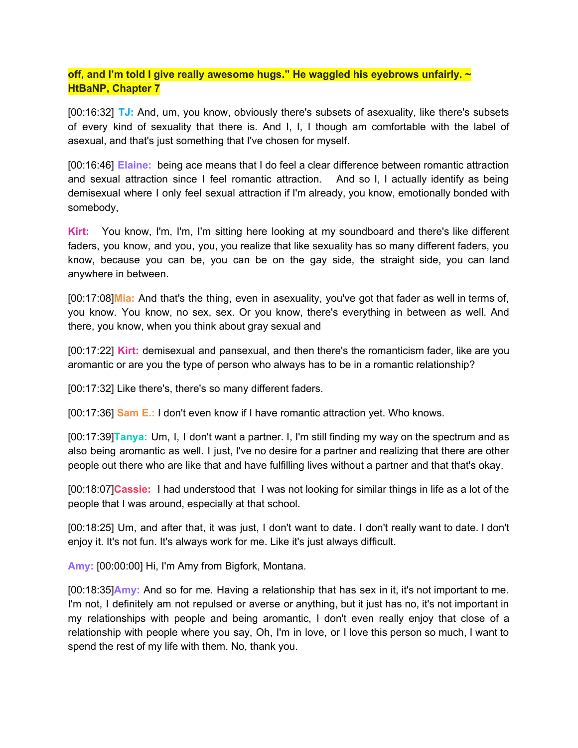### **off, and I'm told I give really awesome hugs." He waggled his eyebrows unfairly. ~ HtBaNP, Chapter 7**

[00:16:32] **TJ:** And, um, you know, obviously there's subsets of asexuality, like there's subsets of every kind of sexuality that there is. And I, I, I though am comfortable with the label of asexual, and that's just something that I've chosen for myself.

[00:16:46] **Elaine:** being ace means that I do feel a clear difference between romantic attraction and sexual attraction since I feel romantic attraction. And so I, I actually identify as being demisexual where I only feel sexual attraction if I'm already, you know, emotionally bonded with somebody,

**Kirt:** You know, I'm, I'm, I'm sitting here looking at my soundboard and there's like different faders, you know, and you, you, you realize that like sexuality has so many different faders, you know, because you can be, you can be on the gay side, the straight side, you can land anywhere in between.

[00:17:08]**Mia:** And that's the thing, even in asexuality, you've got that fader as well in terms of, you know. You know, no sex, sex. Or you know, there's everything in between as well. And there, you know, when you think about gray sexual and

[00:17:22] **Kirt:** demisexual and pansexual, and then there's the romanticism fader, like are you aromantic or are you the type of person who always has to be in a romantic relationship?

[00:17:32] Like there's, there's so many different faders.

[00:17:36] **Sam E.:** I don't even know if I have romantic attraction yet. Who knows.

[00:17:39]**Tanya:** Um, I, I don't want a partner. I, I'm still finding my way on the spectrum and as also being aromantic as well. I just, I've no desire for a partner and realizing that there are other people out there who are like that and have fulfilling lives without a partner and that that's okay.

[00:18:07]**Cassie:** I had understood that I was not looking for similar things in life as a lot of the people that I was around, especially at that school.

[00:18:25] Um, and after that, it was just, I don't want to date. I don't really want to date. I don't enjoy it. It's not fun. It's always work for me. Like it's just always difficult.

**Amy:** [00:00:00] Hi, I'm Amy from Bigfork, Montana.

[00:18:35]**Amy:** And so for me. Having a relationship that has sex in it, it's not important to me. I'm not, I definitely am not repulsed or averse or anything, but it just has no, it's not important in my relationships with people and being aromantic, I don't even really enjoy that close of a relationship with people where you say, Oh, I'm in love, or I love this person so much, I want to spend the rest of my life with them. No, thank you.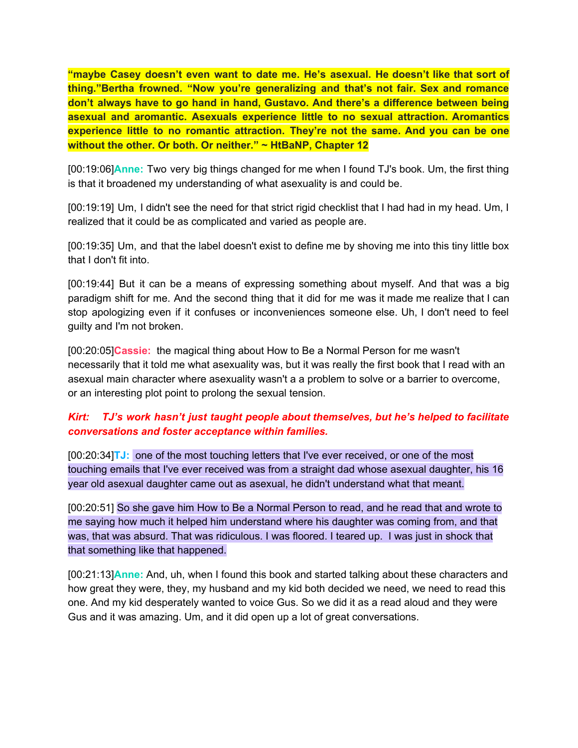**"maybe Casey doesn't even want to date me. He's asexual. He doesn't like that sort of thing."Bertha frowned. "Now you're generalizing and that's not fair. Sex and romance don't always have to go hand in hand, Gustavo. And there's a difference between being asexual and aromantic. Asexuals experience little to no sexual attraction. Aromantics experience little to no romantic attraction. They're not the same. And you can be one without the other. Or both. Or neither." ~ HtBaNP, Chapter 12**

[00:19:06]**Anne:** Two very big things changed for me when I found TJ's book. Um, the first thing is that it broadened my understanding of what asexuality is and could be.

[00:19:19] Um, I didn't see the need for that strict rigid checklist that I had had in my head. Um, I realized that it could be as complicated and varied as people are.

[00:19:35] Um, and that the label doesn't exist to define me by shoving me into this tiny little box that I don't fit into.

[00:19:44] But it can be a means of expressing something about myself. And that was a big paradigm shift for me. And the second thing that it did for me was it made me realize that I can stop apologizing even if it confuses or inconveniences someone else. Uh, I don't need to feel guilty and I'm not broken.

[00:20:05]**Cassie:** the magical thing about How to Be a Normal Person for me wasn't necessarily that it told me what asexuality was, but it was really the first book that I read with an asexual main character where asexuality wasn't a a problem to solve or a barrier to overcome, or an interesting plot point to prolong the sexual tension.

## *Kirt: TJ's work hasn't just taught people about themselves, but he's helped to facilitate conversations and foster acceptance within families.*

[00:20:34]**TJ:** one of the most touching letters that I've ever received, or one of the most touching emails that I've ever received was from a straight dad whose asexual daughter, his 16 year old asexual daughter came out as asexual, he didn't understand what that meant.

[00:20:51] So she gave him How to Be a Normal Person to read, and he read that and wrote to me saying how much it helped him understand where his daughter was coming from, and that was, that was absurd. That was ridiculous. I was floored. I teared up. I was just in shock that that something like that happened.

[00:21:13]**Anne:** And, uh, when I found this book and started talking about these characters and how great they were, they, my husband and my kid both decided we need, we need to read this one. And my kid desperately wanted to voice Gus. So we did it as a read aloud and they were Gus and it was amazing. Um, and it did open up a lot of great conversations.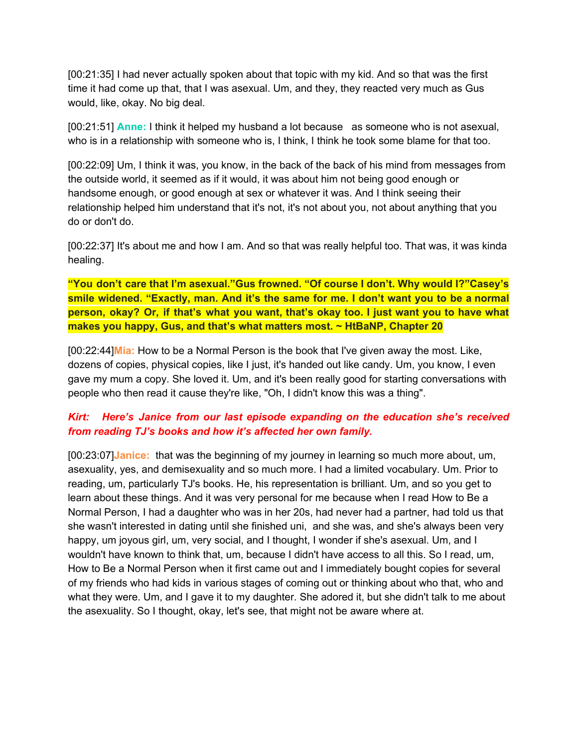[00:21:35] I had never actually spoken about that topic with my kid. And so that was the first time it had come up that, that I was asexual. Um, and they, they reacted very much as Gus would, like, okay. No big deal.

[00:21:51] **Anne:** I think it helped my husband a lot because as someone who is not asexual, who is in a relationship with someone who is, I think, I think he took some blame for that too.

[00:22:09] Um, I think it was, you know, in the back of the back of his mind from messages from the outside world, it seemed as if it would, it was about him not being good enough or handsome enough, or good enough at sex or whatever it was. And I think seeing their relationship helped him understand that it's not, it's not about you, not about anything that you do or don't do.

[00:22:37] It's about me and how I am. And so that was really helpful too. That was, it was kinda healing.

**"You don't care that I'm asexual."Gus frowned. "Of course I don't. Why would I?"Casey's smile widened. "Exactly, man. And it's the same for me. I don't want you to be a normal person, okay? Or, if that's what you want, that's okay too. I just want you to have what makes you happy, Gus, and that's what matters most. ~ HtBaNP, Chapter 20**

[00:22:44]**Mia:** How to be a Normal Person is the book that I've given away the most. Like, dozens of copies, physical copies, like I just, it's handed out like candy. Um, you know, I even gave my mum a copy. She loved it. Um, and it's been really good for starting conversations with people who then read it cause they're like, "Oh, I didn't know this was a thing".

## *Kirt: Here's Janice from our last episode expanding on the education she's received from reading TJ's books and how it's affected her own family.*

[00:23:07]**Janice:** that was the beginning of my journey in learning so much more about, um, asexuality, yes, and demisexuality and so much more. I had a limited vocabulary. Um. Prior to reading, um, particularly TJ's books. He, his representation is brilliant. Um, and so you get to learn about these things. And it was very personal for me because when I read How to Be a Normal Person, I had a daughter who was in her 20s, had never had a partner, had told us that she wasn't interested in dating until she finished uni, and she was, and she's always been very happy, um joyous girl, um, very social, and I thought, I wonder if she's asexual. Um, and I wouldn't have known to think that, um, because I didn't have access to all this. So I read, um, How to Be a Normal Person when it first came out and I immediately bought copies for several of my friends who had kids in various stages of coming out or thinking about who that, who and what they were. Um, and I gave it to my daughter. She adored it, but she didn't talk to me about the asexuality. So I thought, okay, let's see, that might not be aware where at.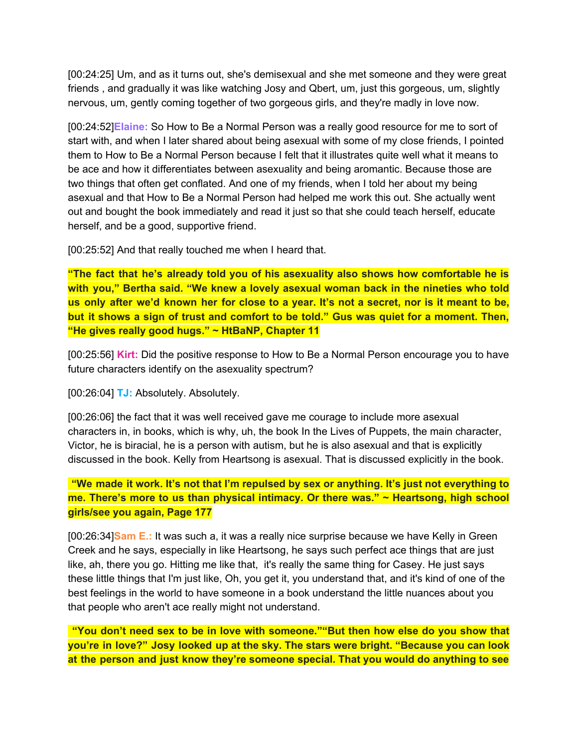[00:24:25] Um, and as it turns out, she's demisexual and she met someone and they were great friends , and gradually it was like watching Josy and Qbert, um, just this gorgeous, um, slightly nervous, um, gently coming together of two gorgeous girls, and they're madly in love now.

[00:24:52]**Elaine:** So How to Be a Normal Person was a really good resource for me to sort of start with, and when I later shared about being asexual with some of my close friends, I pointed them to How to Be a Normal Person because I felt that it illustrates quite well what it means to be ace and how it differentiates between asexuality and being aromantic. Because those are two things that often get conflated. And one of my friends, when I told her about my being asexual and that How to Be a Normal Person had helped me work this out. She actually went out and bought the book immediately and read it just so that she could teach herself, educate herself, and be a good, supportive friend.

[00:25:52] And that really touched me when I heard that.

**"The fact that he's already told you of his asexuality also shows how comfortable he is with you," Bertha said. "We knew a lovely asexual woman back in the nineties who told** us only after we'd known her for close to a year. It's not a secret, nor is it meant to be, **but it shows a sign of trust and comfort to be told." Gus was quiet for a moment. Then, "He gives really good hugs." ~ HtBaNP, Chapter 11**

[00:25:56] **Kirt:** Did the positive response to How to Be a Normal Person encourage you to have future characters identify on the asexuality spectrum?

[00:26:04] **TJ:** Absolutely. Absolutely.

[00:26:06] the fact that it was well received gave me courage to include more asexual characters in, in books, which is why, uh, the book In the Lives of Puppets, the main character, Victor, he is biracial, he is a person with autism, but he is also asexual and that is explicitly discussed in the book. Kelly from Heartsong is asexual. That is discussed explicitly in the book.

**"We made it work. It's not that I'm repulsed by sex or anything. It's just not everything to me. There's more to us than physical intimacy. Or there was." ~ Heartsong, high school girls/see you again, Page 177**

[00:26:34]**Sam E.:** It was such a, it was a really nice surprise because we have Kelly in Green Creek and he says, especially in like Heartsong, he says such perfect ace things that are just like, ah, there you go. Hitting me like that, it's really the same thing for Casey. He just says these little things that I'm just like, Oh, you get it, you understand that, and it's kind of one of the best feelings in the world to have someone in a book understand the little nuances about you that people who aren't ace really might not understand.

**"You don't need sex to be in love with someone.""But then how else do you show that you're in love?" Josy looked up at the sky. The stars were bright. "Because you can look at the person and just know they're someone special. That you would do anything to see**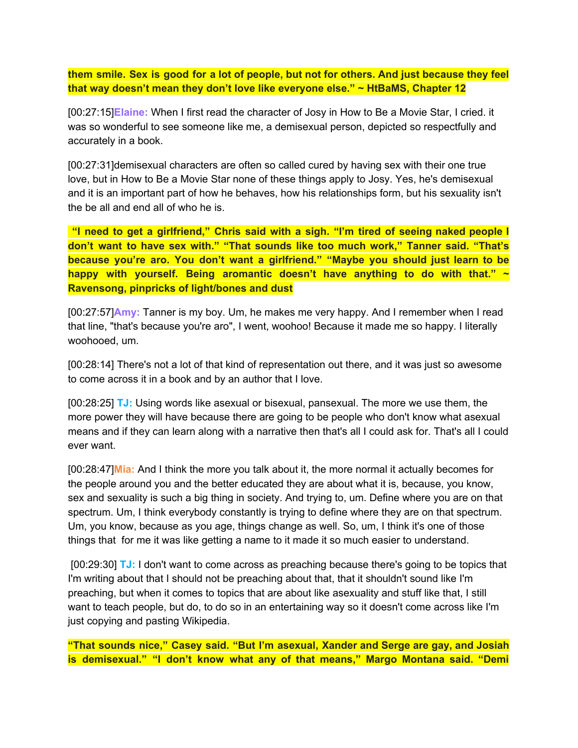**them smile. Sex is good for a lot of people, but not for others. And just because they feel that way doesn't mean they don't love like everyone else." ~ HtBaMS, Chapter 12**

[00:27:15]**Elaine:** When I first read the character of Josy in How to Be a Movie Star, I cried. it was so wonderful to see someone like me, a demisexual person, depicted so respectfully and accurately in a book.

[00:27:31]demisexual characters are often so called cured by having sex with their one true love, but in How to Be a Movie Star none of these things apply to Josy. Yes, he's demisexual and it is an important part of how he behaves, how his relationships form, but his sexuality isn't the be all and end all of who he is.

**"I need to get a girlfriend," Chris said with a sigh. "I'm tired of seeing naked people I don't want to have sex with." "That sounds like too much work," Tanner said. "That's because you're aro. You don't want a girlfriend." "Maybe you should just learn to be happy with yourself. Being aromantic doesn't have anything to do with that." ~ Ravensong, pinpricks of light/bones and dust**

[00:27:57]**Amy:** Tanner is my boy. Um, he makes me very happy. And I remember when I read that line, "that's because you're aro", I went, woohoo! Because it made me so happy. I literally woohooed, um.

[00:28:14] There's not a lot of that kind of representation out there, and it was just so awesome to come across it in a book and by an author that I love.

[00:28:25] **TJ:** Using words like asexual or bisexual, pansexual. The more we use them, the more power they will have because there are going to be people who don't know what asexual means and if they can learn along with a narrative then that's all I could ask for. That's all I could ever want.

[00:28:47]**Mia:** And I think the more you talk about it, the more normal it actually becomes for the people around you and the better educated they are about what it is, because, you know, sex and sexuality is such a big thing in society. And trying to, um. Define where you are on that spectrum. Um, I think everybody constantly is trying to define where they are on that spectrum. Um, you know, because as you age, things change as well. So, um, I think it's one of those things that for me it was like getting a name to it made it so much easier to understand.

[00:29:30] **TJ:** I don't want to come across as preaching because there's going to be topics that I'm writing about that I should not be preaching about that, that it shouldn't sound like I'm preaching, but when it comes to topics that are about like asexuality and stuff like that, I still want to teach people, but do, to do so in an entertaining way so it doesn't come across like I'm just copying and pasting Wikipedia.

**"That sounds nice," Casey said. "But I'm asexual, Xander and Serge are gay, and Josiah is demisexual." "I don't know what any of that means," Margo Montana said. "Demi**